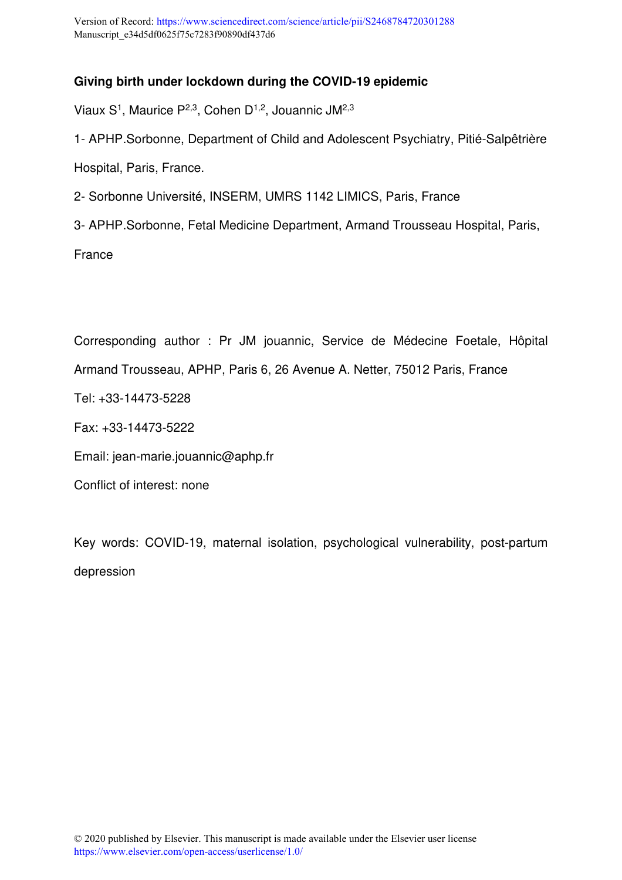## **Giving birth under lockdown during the COVID-19 epidemic**

Viaux  $S<sup>1</sup>$ , Maurice P<sup>2,3</sup>, Cohen D<sup>1,2</sup>, Jouannic JM<sup>2,3</sup>

1- APHP.Sorbonne, Department of Child and Adolescent Psychiatry, Pitié-Salpêtrière Hospital, Paris, France.

2- Sorbonne Université, INSERM, UMRS 1142 LIMICS, Paris, France

3- APHP.Sorbonne, Fetal Medicine Department, Armand Trousseau Hospital, Paris,

France

Corresponding author : Pr JM jouannic, Service de Médecine Foetale, Hôpital Armand Trousseau, APHP, Paris 6, 26 Avenue A. Netter, 75012 Paris, France Tel: +33-14473-5228 Fax: +33-14473-5222 Email: jean-marie.jouannic@aphp.fr Conflict of interest: none

Key words: COVID-19, maternal isolation, psychological vulnerability, post-partum depression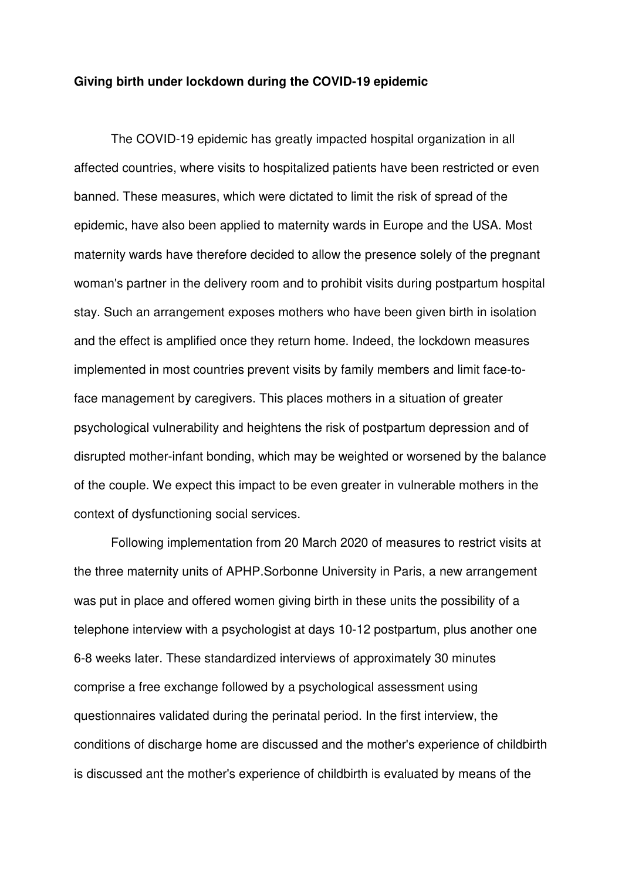## **Giving birth under lockdown during the COVID-19 epidemic**

The COVID-19 epidemic has greatly impacted hospital organization in all affected countries, where visits to hospitalized patients have been restricted or even banned. These measures, which were dictated to limit the risk of spread of the epidemic, have also been applied to maternity wards in Europe and the USA. Most maternity wards have therefore decided to allow the presence solely of the pregnant woman's partner in the delivery room and to prohibit visits during postpartum hospital stay. Such an arrangement exposes mothers who have been given birth in isolation and the effect is amplified once they return home. Indeed, the lockdown measures implemented in most countries prevent visits by family members and limit face-toface management by caregivers. This places mothers in a situation of greater psychological vulnerability and heightens the risk of postpartum depression and of disrupted mother-infant bonding, which may be weighted or worsened by the balance of the couple. We expect this impact to be even greater in vulnerable mothers in the context of dysfunctioning social services.

Following implementation from 20 March 2020 of measures to restrict visits at the three maternity units of APHP.Sorbonne University in Paris, a new arrangement was put in place and offered women giving birth in these units the possibility of a telephone interview with a psychologist at days 10-12 postpartum, plus another one 6-8 weeks later. These standardized interviews of approximately 30 minutes comprise a free exchange followed by a psychological assessment using questionnaires validated during the perinatal period. In the first interview, the conditions of discharge home are discussed and the mother's experience of childbirth is discussed ant the mother's experience of childbirth is evaluated by means of the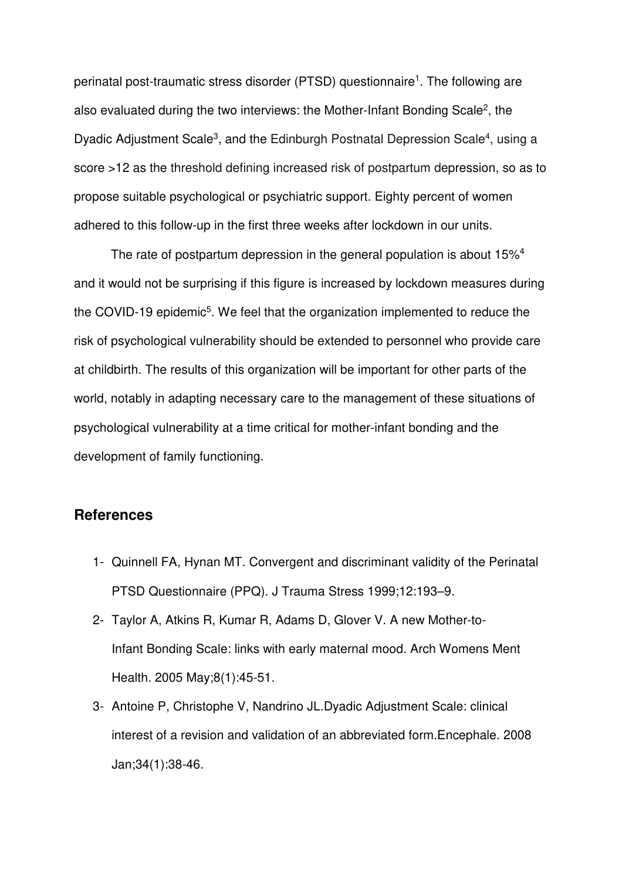perinatal post-traumatic stress disorder (PTSD) questionnaire<sup>1</sup>. The following are also evaluated during the two interviews: the Mother-Infant Bonding Scale<sup>2</sup>, the Dyadic Adjustment Scale<sup>3</sup>, and the Edinburgh Postnatal Depression Scale<sup>4</sup>, using a score >12 as the threshold defining increased risk of postpartum depression, so as to propose suitable psychological or psychiatric support. Eighty percent of women adhered to this follow-up in the first three weeks after lockdown in our units.

The rate of postpartum depression in the general population is about 15%<sup>4</sup> and it would not be surprising if this figure is increased by lockdown measures during the COVID-19 epidemic<sup>5</sup>. We feel that the organization implemented to reduce the risk of psychological vulnerability should be extended to personnel who provide care at childbirth. The results of this organization will be important for other parts of the world, notably in adapting necessary care to the management of these situations of psychological vulnerability at a time critical for mother-infant bonding and the development of family functioning.

## **References**

- 1- Quinnell FA, Hynan MT. Convergent and discriminant validity of the Perinatal PTSD Questionnaire (PPQ). J Trauma Stress 1999;12:193–9.
- 2- Taylor A, Atkins R, Kumar R, Adams D, Glover V. A new Mother-to-Infant Bonding Scale: links with early maternal mood. Arch Womens Ment Health. 2005 May;8(1):45-51.
- 3- Antoine P, Christophe V, Nandrino JL.Dyadic Adjustment Scale: clinical interest of a revision and validation of an abbreviated form.Encephale. 2008 Jan;34(1):38-46.